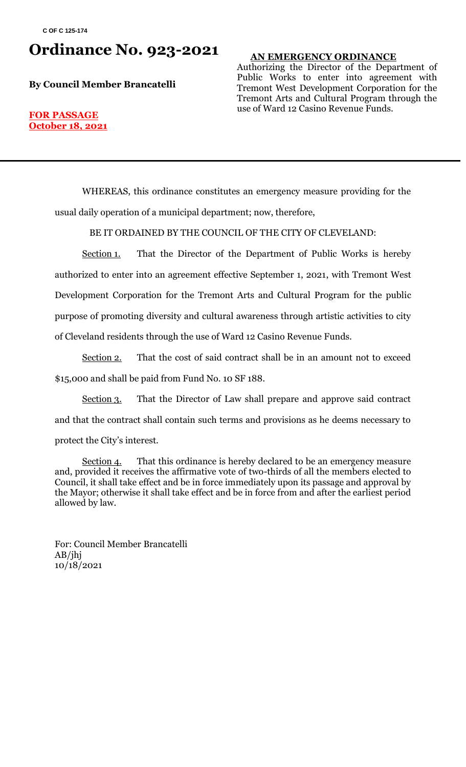## **Ordinance No. 923-2021**

**By Council Member Brancatelli**

### **AN EMERGENCY ORDINANCE**

Authorizing the Director of the Department of Public Works to enter into agreement with Tremont West Development Corporation for the Tremont Arts and Cultural Program through the use of Ward 12 Casino Revenue Funds.

#### **FOR PASSAGE October 18, 2021**

WHEREAS, this ordinance constitutes an emergency measure providing for the usual daily operation of a municipal department; now, therefore,

BE IT ORDAINED BY THE COUNCIL OF THE CITY OF CLEVELAND:

Section 1. That the Director of the Department of Public Works is hereby authorized to enter into an agreement effective September 1, 2021, with Tremont West Development Corporation for the Tremont Arts and Cultural Program for the public purpose of promoting diversity and cultural awareness through artistic activities to city of Cleveland residents through the use of Ward 12 Casino Revenue Funds.

Section 2. That the cost of said contract shall be in an amount not to exceed \$15,000 and shall be paid from Fund No. 10 SF 188.

Section 3. That the Director of Law shall prepare and approve said contract and that the contract shall contain such terms and provisions as he deems necessary to protect the City's interest.

Section 4. That this ordinance is hereby declared to be an emergency measure and, provided it receives the affirmative vote of two-thirds of all the members elected to Council, it shall take effect and be in force immediately upon its passage and approval by the Mayor; otherwise it shall take effect and be in force from and after the earliest period allowed by law.

For: Council Member Brancatelli AB/jhj 10/18/2021